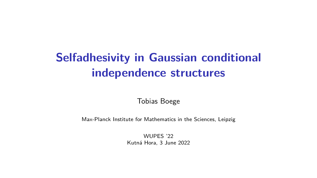# **Selfadhesivity in Gaussian conditional independence structures**

Tobias Boege

Max-Planck Institute for Mathematics in the Sciences, Leipzig

WUPFS '22 Kutná Hora, 3 June 2022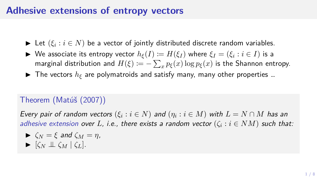## **Adhesive extensions of entropy vectors**

- ▶ Let (*ξ<sup>i</sup>* : *i ∈ N*) be a vector of jointly distributed discrete random variables.
- ▶ We associate its entropy vector  $h_{\xi}(I) \coloneqq H(\xi_I)$  where  $\xi_I = (\xi_i : i \in I)$  is a marginal distribution and  $H(\xi) \coloneqq -\sum_x p_{\xi}(x) \log p_{\xi}(x)$  is the Shannon entropy.
- $\blacktriangleright$  The vectors  $h_{\xi}$  are polymatroids and satisfy many, many other properties ...

## Theorem (Matúš (2007))

*Every pair of random vectors*  $(\xi_i : i \in N)$  *and*  $(\eta_i : i \in M)$  *with*  $L = N \cap M$  *has an adhesive extension over L, i.e., there exists a random vector*  $(\zeta_i : i \in NM)$  *such that:* 

$$
\blacktriangleright \zeta_N = \xi \text{ and } \zeta_M = \eta,
$$

$$
\blacktriangleright [\zeta_N \perp \!\!\!\perp \zeta_M \mid \zeta_L].
$$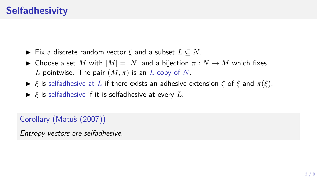- ▶ Fix a discrete random vector *ξ* and a subset *L ⊆ N*.
- ▶ Choose a set *M* with  $|M| = |N|$  and a bijection  $\pi : N \to M$  which fixes *L* pointwise. The pair  $(M, \pi)$  is an *L*-copy of *N*.
- $\triangleright$  *ξ* is selfadhesive at *L* if there exists an adhesive extension  $\zeta$  of  $\xi$  and  $\pi(\xi)$ .
- ▶ *ξ* is selfadhesive if it is selfadhesive at every *L*.

#### Corollary (Matúš (2007))

*Entropy vectors are selfadhesive.*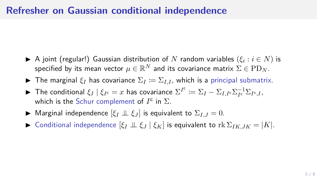#### **Refresher on Gaussian conditional independence**

- $\blacktriangleright$  A joint (regular!) Gaussian distribution of  $N$  random variables  $(\xi_i : i \in N)$  is specified by its mean vector  $\mu \in \mathbb{R}^N$  and its covariance matrix  $\Sigma \in \mathrm{PD}_N.$
- **►** The marginal  $\xi_I$  has covariance  $\Sigma_I := \Sigma_{I,I}$ , which is a principal submatrix.
- ► The conditional  $\xi_I \mid \xi_{I^c} = x$  has covariance  $\Sigma^{I^c} \coloneqq \Sigma_I \Sigma_{I,I^c} \Sigma_{I^c}^{-1} \Sigma_{I^c,I}$ , which is the Schur complement of  $I^c$  in  $\Sigma$ .
- **▶** Marginal independence  $[\xi_I \perp \!\!\!\perp \xi_J]$  is equivalent to  $\Sigma_{I,J} = 0$ .
- ▶ Conditional independence  $[ξ_I ⊥ ⊆ ξ_I | ξ_K]$  is equivalent to  $rk Σ_{IKJK} = |K|$ .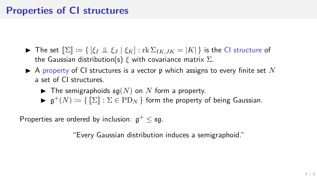## **Properties of CI structures**

- ▶ The set  $\mathbb{Z}$  = { $[\xi_I \perp \xi_I | \xi_K]$  : rk  $\Sigma_{IK,IK} = |K|$ } is the CI structure of the Gaussian distribution(s) *ξ* with covariance matrix Σ.
- $\blacktriangleright$  A property of CI structures is a vector p which assigns to every finite set N a set of CI structures.
	- $\blacktriangleright$  The semigraphoids  $\mathfrak{sa}(N)$  on N form a property.
	- $\blacktriangleright$   $\mathfrak{g}^+(N) \coloneqq \{ \llbracket \Sigma \rrbracket : \Sigma \in \mathrm{PD}_N \}$  form the property of being Gaussian.

Properties are ordered by inclusion: g <sup>+</sup> *≤* sg.

"Every Gaussian distribution induces a semigraphoid."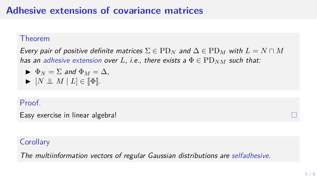## **Adhesive extensions of covariance matrices**

#### Theorem

*Every pair of positive definite matrices*  $\Sigma \in \text{PD}_N$  and  $\Delta \in \text{PD}_M$  with  $L = N \cap M$ *has an adhesive extension over L*, *i.e.*, there exists a  $\Phi \in \text{PD}_{NM}$  such that:

$$
\blacktriangleright \Phi_N = \Sigma \text{ and } \Phi_M = \Delta,
$$
  

$$
\blacktriangleright [N \perp \!\!\!\perp M \mid L] \in [\![ \Phi ]\!].
$$

#### Proof.

Easy exercise in linear algebra!

#### **Corollary**

*The multiinformation vectors of regular Gaussian distributions are selfadhesive.*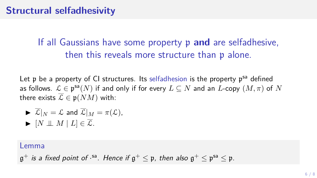## **Structural selfadhesivity**

## If all Gaussians have some property p **and** are selfadhesive, then this reveals more structure than p alone.

Let p be a property of CI structures. Its selfadhesion is the property p<sup>sa</sup> defined as follows.  $\mathcal{L} \in \mathfrak{p}^{\mathsf{sa}}(N)$  if and only if for every  $L \subseteq N$  and an  $L$ -copy  $(M,\pi)$  of  $N$ there exists  $\overline{L} \in \mathfrak{p}(NM)$  with:

\n- $$
\overline{\mathcal{L}}|_N = \mathcal{L}
$$
 and  $\overline{\mathcal{L}}|_M = \pi(\mathcal{L}),$
\n- $[N \perp M | L] \in \overline{\mathcal{L}}.$
\n

#### Lemma

 $\mathfrak{g}^+$  *is a fixed point of ·*<sup>sa</sup>. Hence if  $\mathfrak{g}^+ \leq \mathfrak{p}$ , then also  $\mathfrak{g}^+ \leq \mathfrak{p}^{\mathsf{sa}} \leq \mathfrak{p}$ .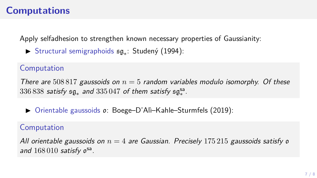## **Computations**

Apply selfadhesion to strengthen known necessary properties of Gaussianity:

▶ Structural semigraphoids sg*<sup>∗</sup>* : Studený (1994):

#### Computation

*There are* 508 817 *gaussoids on n* = 5 *random variables modulo isomorphy. Of these* 336 838 *satisfy* sg*<sup>∗</sup> and* 335 047 *of them satisfy* sgsa *∗ .*

▶ Orientable gaussoids o: Boege–D'Alì–Kahle–Sturmfels (2019):

#### Computation

*All orientable gaussoids on n* = 4 *are Gaussian. Precisely* 175 215 *gaussoids satisfy* o and  $168010$  satisfy osa.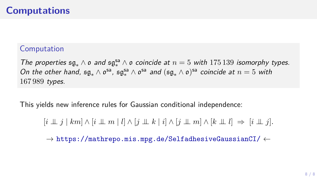## **Computations**

#### Computation

*The properties*  $\mathfrak{sg}_* \wedge \mathfrak{o}$  *and*  $\mathfrak{sg}_*^{\mathsf{sa}} \wedge \mathfrak{o}$  *coincide at*  $n = 5$  *with* 175 139 *isomorphy types. On the other hand,*  $\mathfrak{sg}_* \wedge \mathfrak{o}^{sa}$ ,  $\mathfrak{sg}_*^{sa} \wedge \mathfrak{o}^{sa}$  *and*  $(\mathfrak{sg}_* \wedge \mathfrak{o})^{sa}$  *coincide at*  $n = 5$  *with* 167 989 *types.*

This yields new inference rules for Gaussian conditional independence:

 $[i \perp \!\!\!\perp j \mid km] \wedge [i \perp \!\!\!\perp m \mid l] \wedge [j \perp \!\!\!\perp k \mid i] \wedge [j \perp \!\!\!\perp m] \wedge [k \perp \!\!\!\perp l] \Rightarrow [i \perp \!\!\!\perp j].$ 

*→* https://mathrepo.mis.mpg.de/SelfadhesiveGaussianCI/ *←*